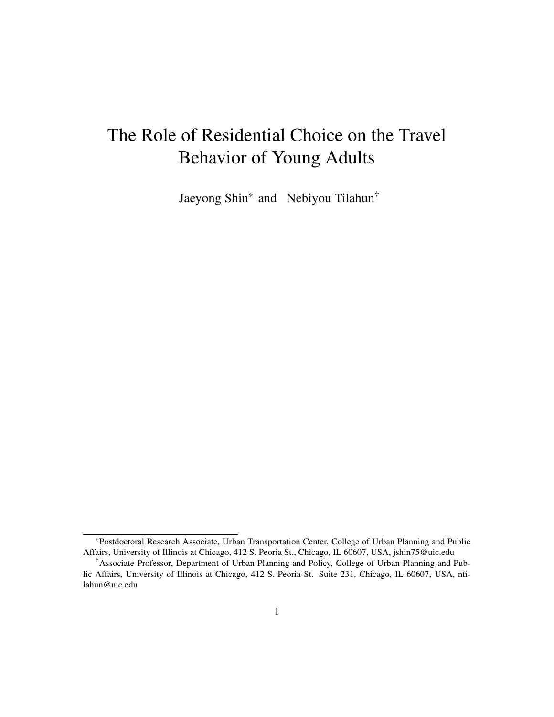# <span id="page-0-0"></span>The Role of Residential Choice on the Travel Behavior of Young Adults

Jaeyong Shin\* and Nebiyou Tilahun†

<sup>\*</sup>Postdoctoral Research Associate, Urban Transportation Center, College of Urban Planning and Public Affairs, University of Illinois at Chicago, 412 S. Peoria St., Chicago, IL 60607, USA, jshin75@uic.edu

<sup>†</sup>Associate Professor, Department of Urban Planning and Policy, College of Urban Planning and Public Affairs, University of Illinois at Chicago, 412 S. Peoria St. Suite 231, Chicago, IL 60607, USA, ntilahun@uic.edu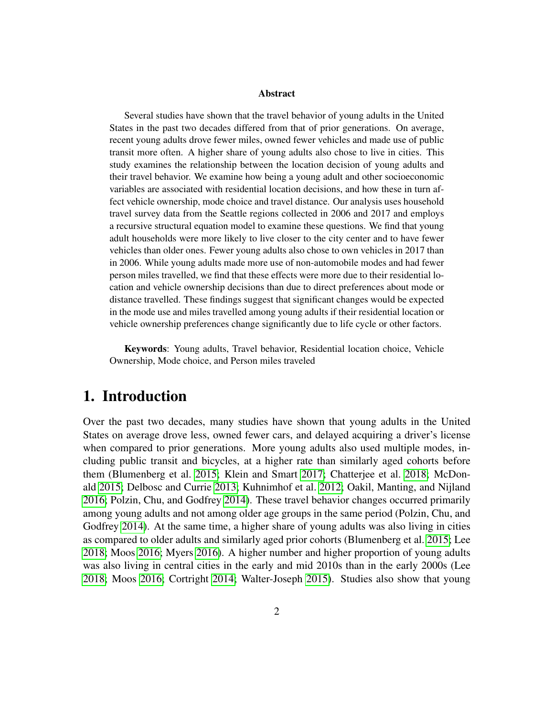#### Abstract

Several studies have shown that the travel behavior of young adults in the United States in the past two decades differed from that of prior generations. On average, recent young adults drove fewer miles, owned fewer vehicles and made use of public transit more often. A higher share of young adults also chose to live in cities. This study examines the relationship between the location decision of young adults and their travel behavior. We examine how being a young adult and other socioeconomic variables are associated with residential location decisions, and how these in turn affect vehicle ownership, mode choice and travel distance. Our analysis uses household travel survey data from the Seattle regions collected in 2006 and 2017 and employs a recursive structural equation model to examine these questions. We find that young adult households were more likely to live closer to the city center and to have fewer vehicles than older ones. Fewer young adults also chose to own vehicles in 2017 than in 2006. While young adults made more use of non-automobile modes and had fewer person miles travelled, we find that these effects were more due to their residential location and vehicle ownership decisions than due to direct preferences about mode or distance travelled. These findings suggest that significant changes would be expected in the mode use and miles travelled among young adults if their residential location or vehicle ownership preferences change significantly due to life cycle or other factors.

Keywords: Young adults, Travel behavior, Residential location choice, Vehicle Ownership, Mode choice, and Person miles traveled

## 1. Introduction

Over the past two decades, many studies have shown that young adults in the United States on average drove less, owned fewer cars, and delayed acquiring a driver's license when compared to prior generations. More young adults also used multiple modes, including public transit and bicycles, at a higher rate than similarly aged cohorts before them (Blumenberg et al. [2015;](#page-22-0) Klein and Smart [2017;](#page-23-0) Chatterjee et al. [2018;](#page-22-1) McDonald [2015;](#page-24-0) Delbosc and Currie [2013;](#page-22-2) Kuhnimhof et al. [2012;](#page-23-1) Oakil, Manting, and Nijland [2016;](#page-24-1) Polzin, Chu, and Godfrey [2014\)](#page-24-2). These travel behavior changes occurred primarily among young adults and not among older age groups in the same period (Polzin, Chu, and Godfrey [2014\)](#page-24-2). At the same time, a higher share of young adults was also living in cities as compared to older adults and similarly aged prior cohorts (Blumenberg et al. [2015;](#page-22-0) Lee [2018;](#page-23-2) Moos [2016;](#page-24-3) Myers [2016\)](#page-24-4). A higher number and higher proportion of young adults was also living in central cities in the early and mid 2010s than in the early 2000s (Lee [2018;](#page-23-2) Moos [2016;](#page-24-3) Cortright [2014;](#page-22-3) Walter-Joseph [2015\)](#page-25-0). Studies also show that young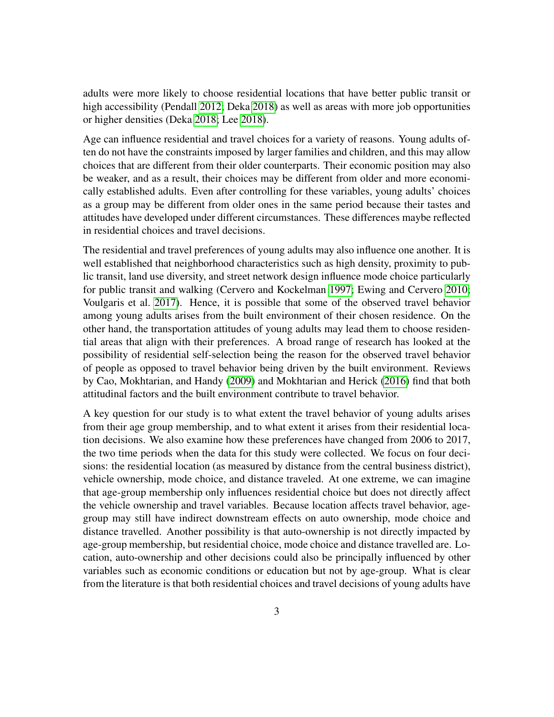adults were more likely to choose residential locations that have better public transit or high accessibility (Pendall [2012;](#page-24-5) Deka [2018\)](#page-22-4) as well as areas with more job opportunities or higher densities (Deka [2018;](#page-22-4) Lee [2018\)](#page-23-2).

Age can influence residential and travel choices for a variety of reasons. Young adults often do not have the constraints imposed by larger families and children, and this may allow choices that are different from their older counterparts. Their economic position may also be weaker, and as a result, their choices may be different from older and more economically established adults. Even after controlling for these variables, young adults' choices as a group may be different from older ones in the same period because their tastes and attitudes have developed under different circumstances. These differences maybe reflected in residential choices and travel decisions.

The residential and travel preferences of young adults may also influence one another. It is well established that neighborhood characteristics such as high density, proximity to public transit, land use diversity, and street network design influence mode choice particularly for public transit and walking (Cervero and Kockelman [1997;](#page-22-5) Ewing and Cervero [2010;](#page-23-3) Voulgaris et al. [2017\)](#page-25-1). Hence, it is possible that some of the observed travel behavior among young adults arises from the built environment of their chosen residence. On the other hand, the transportation attitudes of young adults may lead them to choose residential areas that align with their preferences. A broad range of research has looked at the possibility of residential self-selection being the reason for the observed travel behavior of people as opposed to travel behavior being driven by the built environment. Reviews by Cao, Mokhtarian, and Handy [\(2009\)](#page-22-6) and Mokhtarian and Herick [\(2016\)](#page-24-6) find that both attitudinal factors and the built environment contribute to travel behavior.

A key question for our study is to what extent the travel behavior of young adults arises from their age group membership, and to what extent it arises from their residential location decisions. We also examine how these preferences have changed from 2006 to 2017, the two time periods when the data for this study were collected. We focus on four decisions: the residential location (as measured by distance from the central business district), vehicle ownership, mode choice, and distance traveled. At one extreme, we can imagine that age-group membership only influences residential choice but does not directly affect the vehicle ownership and travel variables. Because location affects travel behavior, agegroup may still have indirect downstream effects on auto ownership, mode choice and distance travelled. Another possibility is that auto-ownership is not directly impacted by age-group membership, but residential choice, mode choice and distance travelled are. Location, auto-ownership and other decisions could also be principally influenced by other variables such as economic conditions or education but not by age-group. What is clear from the literature is that both residential choices and travel decisions of young adults have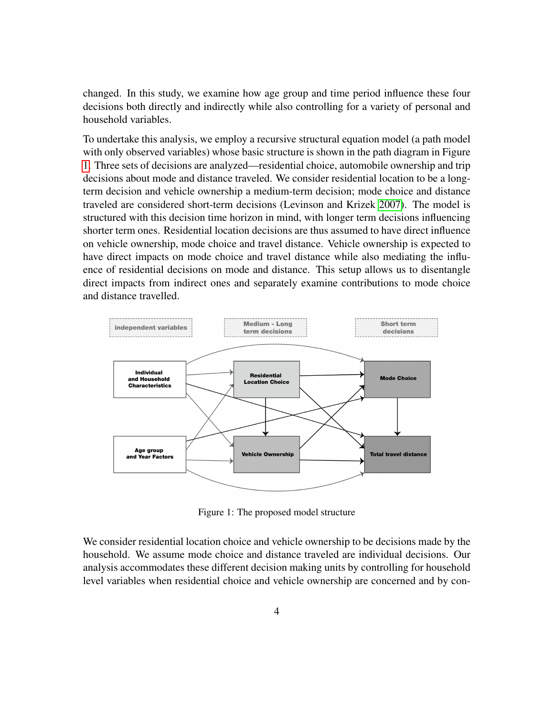changed. In this study, we examine how age group and time period influence these four decisions both directly and indirectly while also controlling for a variety of personal and household variables.

To undertake this analysis, we employ a recursive structural equation model (a path model with only observed variables) whose basic structure is shown in the path diagram in Figure [1.](#page-3-0) Three sets of decisions are analyzed—residential choice, automobile ownership and trip decisions about mode and distance traveled. We consider residential location to be a longterm decision and vehicle ownership a medium-term decision; mode choice and distance traveled are considered short-term decisions (Levinson and Krizek [2007\)](#page-23-4). The model is structured with this decision time horizon in mind, with longer term decisions influencing shorter term ones. Residential location decisions are thus assumed to have direct influence on vehicle ownership, mode choice and travel distance. Vehicle ownership is expected to have direct impacts on mode choice and travel distance while also mediating the influence of residential decisions on mode and distance. This setup allows us to disentangle direct impacts from indirect ones and separately examine contributions to mode choice and distance travelled.

<span id="page-3-0"></span>

Figure 1: The proposed model structure

We consider residential location choice and vehicle ownership to be decisions made by the household. We assume mode choice and distance traveled are individual decisions. Our analysis accommodates these different decision making units by controlling for household level variables when residential choice and vehicle ownership are concerned and by con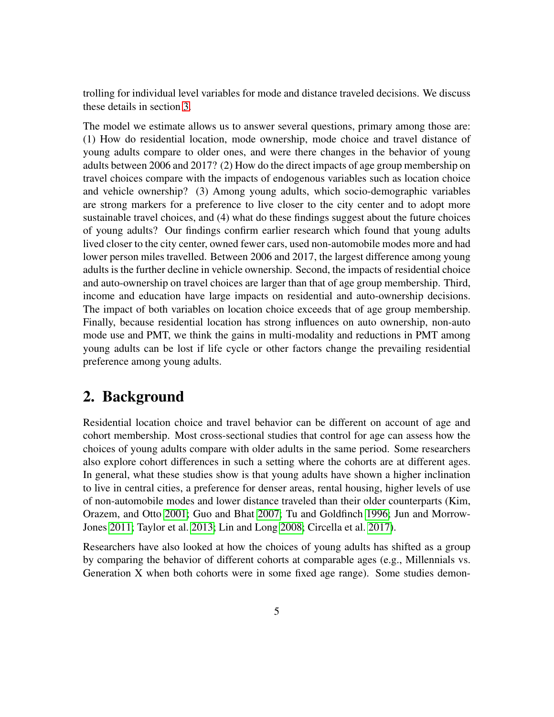trolling for individual level variables for mode and distance traveled decisions. We discuss these details in section [3.](#page-7-0)

The model we estimate allows us to answer several questions, primary among those are: (1) How do residential location, mode ownership, mode choice and travel distance of young adults compare to older ones, and were there changes in the behavior of young adults between 2006 and 2017? (2) How do the direct impacts of age group membership on travel choices compare with the impacts of endogenous variables such as location choice and vehicle ownership? (3) Among young adults, which socio-demographic variables are strong markers for a preference to live closer to the city center and to adopt more sustainable travel choices, and (4) what do these findings suggest about the future choices of young adults? Our findings confirm earlier research which found that young adults lived closer to the city center, owned fewer cars, used non-automobile modes more and had lower person miles travelled. Between 2006 and 2017, the largest difference among young adults is the further decline in vehicle ownership. Second, the impacts of residential choice and auto-ownership on travel choices are larger than that of age group membership. Third, income and education have large impacts on residential and auto-ownership decisions. The impact of both variables on location choice exceeds that of age group membership. Finally, because residential location has strong influences on auto ownership, non-auto mode use and PMT, we think the gains in multi-modality and reductions in PMT among young adults can be lost if life cycle or other factors change the prevailing residential preference among young adults.

## 2. Background

Residential location choice and travel behavior can be different on account of age and cohort membership. Most cross-sectional studies that control for age can assess how the choices of young adults compare with older adults in the same period. Some researchers also explore cohort differences in such a setting where the cohorts are at different ages. In general, what these studies show is that young adults have shown a higher inclination to live in central cities, a preference for denser areas, rental housing, higher levels of use of non-automobile modes and lower distance traveled than their older counterparts (Kim, Orazem, and Otto [2001;](#page-23-5) Guo and Bhat [2007;](#page-23-6) Tu and Goldfinch [1996;](#page-25-2) Jun and Morrow-Jones [2011;](#page-23-7) Taylor et al. [2013;](#page-25-3) Lin and Long [2008;](#page-24-7) Circella et al. [2017\)](#page-22-7).

Researchers have also looked at how the choices of young adults has shifted as a group by comparing the behavior of different cohorts at comparable ages (e.g., Millennials vs. Generation X when both cohorts were in some fixed age range). Some studies demon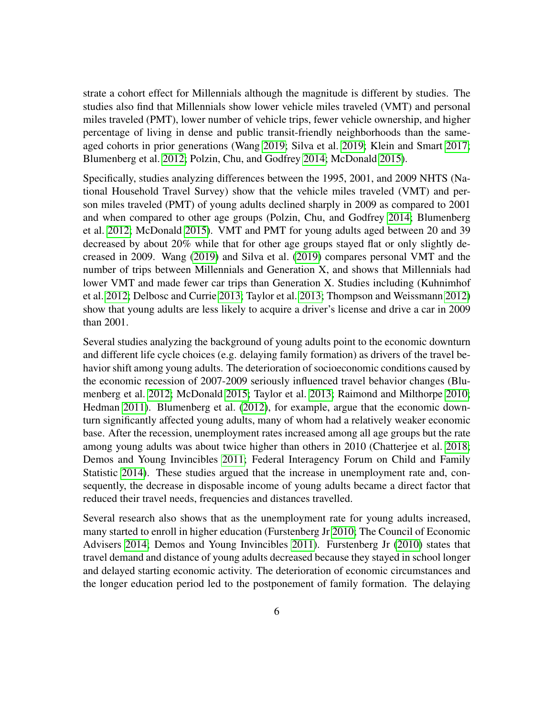strate a cohort effect for Millennials although the magnitude is different by studies. The studies also find that Millennials show lower vehicle miles traveled (VMT) and personal miles traveled (PMT), lower number of vehicle trips, fewer vehicle ownership, and higher percentage of living in dense and public transit-friendly neighborhoods than the sameaged cohorts in prior generations (Wang [2019;](#page-25-4) Silva et al. [2019;](#page-24-8) Klein and Smart [2017;](#page-23-0) Blumenberg et al. [2012;](#page-22-8) Polzin, Chu, and Godfrey [2014;](#page-24-2) McDonald [2015\)](#page-24-0).

Specifically, studies analyzing differences between the 1995, 2001, and 2009 NHTS (National Household Travel Survey) show that the vehicle miles traveled (VMT) and person miles traveled (PMT) of young adults declined sharply in 2009 as compared to 2001 and when compared to other age groups (Polzin, Chu, and Godfrey [2014;](#page-24-2) Blumenberg et al. [2012;](#page-22-8) McDonald [2015\)](#page-24-0). VMT and PMT for young adults aged between 20 and 39 decreased by about 20% while that for other age groups stayed flat or only slightly decreased in 2009. Wang [\(2019\)](#page-25-4) and Silva et al. [\(2019\)](#page-24-8) compares personal VMT and the number of trips between Millennials and Generation X, and shows that Millennials had lower VMT and made fewer car trips than Generation X. Studies including (Kuhnimhof et al. [2012;](#page-23-1) Delbosc and Currie [2013;](#page-22-2) Taylor et al. [2013;](#page-25-3) Thompson and Weissmann [2012\)](#page-25-5) show that young adults are less likely to acquire a driver's license and drive a car in 2009 than 2001.

Several studies analyzing the background of young adults point to the economic downturn and different life cycle choices (e.g. delaying family formation) as drivers of the travel behavior shift among young adults. The deterioration of socioeconomic conditions caused by the economic recession of 2007-2009 seriously influenced travel behavior changes (Blumenberg et al. [2012;](#page-22-8) McDonald [2015;](#page-24-0) Taylor et al. [2013;](#page-25-3) Raimond and Milthorpe [2010;](#page-24-9) Hedman [2011\)](#page-23-8). Blumenberg et al. [\(2012\)](#page-22-8), for example, argue that the economic downturn significantly affected young adults, many of whom had a relatively weaker economic base. After the recession, unemployment rates increased among all age groups but the rate among young adults was about twice higher than others in 2010 (Chatterjee et al. [2018;](#page-22-1) Demos and Young Invincibles [2011;](#page-23-9) Federal Interagency Forum on Child and Family Statistic [2014\)](#page-23-10). These studies argued that the increase in unemployment rate and, consequently, the decrease in disposable income of young adults became a direct factor that reduced their travel needs, frequencies and distances travelled.

Several research also shows that as the unemployment rate for young adults increased, many started to enroll in higher education (Furstenberg Jr [2010;](#page-23-11) The Council of Economic Advisers [2014;](#page-25-6) Demos and Young Invincibles [2011\)](#page-23-9). Furstenberg Jr [\(2010\)](#page-23-11) states that travel demand and distance of young adults decreased because they stayed in school longer and delayed starting economic activity. The deterioration of economic circumstances and the longer education period led to the postponement of family formation. The delaying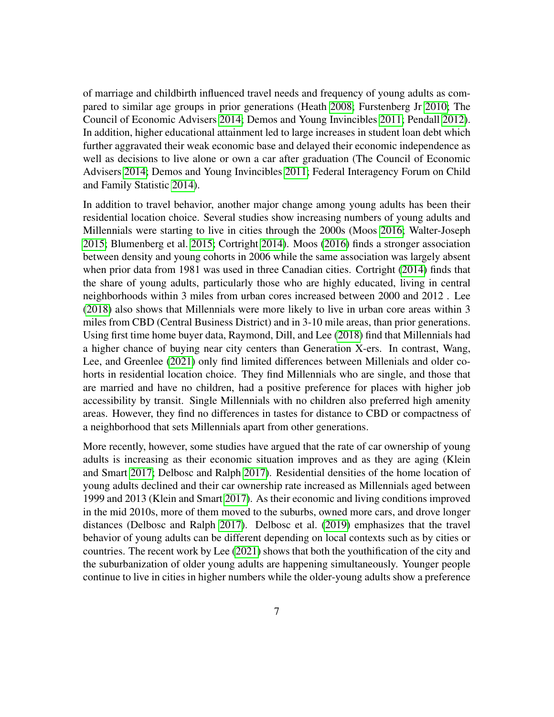of marriage and childbirth influenced travel needs and frequency of young adults as compared to similar age groups in prior generations (Heath [2008;](#page-23-12) Furstenberg Jr [2010;](#page-23-11) The Council of Economic Advisers [2014;](#page-25-6) Demos and Young Invincibles [2011;](#page-23-9) Pendall [2012\)](#page-24-5). In addition, higher educational attainment led to large increases in student loan debt which further aggravated their weak economic base and delayed their economic independence as well as decisions to live alone or own a car after graduation (The Council of Economic Advisers [2014;](#page-25-6) Demos and Young Invincibles [2011;](#page-23-9) Federal Interagency Forum on Child and Family Statistic [2014\)](#page-23-10).

In addition to travel behavior, another major change among young adults has been their residential location choice. Several studies show increasing numbers of young adults and Millennials were starting to live in cities through the 2000s (Moos [2016;](#page-24-3) Walter-Joseph [2015;](#page-25-0) Blumenberg et al. [2015;](#page-22-0) Cortright [2014\)](#page-22-3). Moos [\(2016\)](#page-24-3) finds a stronger association between density and young cohorts in 2006 while the same association was largely absent when prior data from 1981 was used in three Canadian cities. Cortright [\(2014\)](#page-22-3) finds that the share of young adults, particularly those who are highly educated, living in central neighborhoods within 3 miles from urban cores increased between 2000 and 2012 . Lee [\(2018\)](#page-23-2) also shows that Millennials were more likely to live in urban core areas within 3 miles from CBD (Central Business District) and in 3-10 mile areas, than prior generations. Using first time home buyer data, Raymond, Dill, and Lee [\(2018\)](#page-24-10) find that Millennials had a higher chance of buying near city centers than Generation X-ers. In contrast, Wang, Lee, and Greenlee [\(2021\)](#page-25-7) only find limited differences between Millenials and older cohorts in residential location choice. They find Millennials who are single, and those that are married and have no children, had a positive preference for places with higher job accessibility by transit. Single Millennials with no children also preferred high amenity areas. However, they find no differences in tastes for distance to CBD or compactness of a neighborhood that sets Millennials apart from other generations.

More recently, however, some studies have argued that the rate of car ownership of young adults is increasing as their economic situation improves and as they are aging (Klein and Smart [2017;](#page-23-0) Delbosc and Ralph [2017\)](#page-22-9). Residential densities of the home location of young adults declined and their car ownership rate increased as Millennials aged between 1999 and 2013 (Klein and Smart [2017\)](#page-23-0). As their economic and living conditions improved in the mid 2010s, more of them moved to the suburbs, owned more cars, and drove longer distances (Delbosc and Ralph [2017\)](#page-22-9). Delbosc et al. [\(2019\)](#page-22-10) emphasizes that the travel behavior of young adults can be different depending on local contexts such as by cities or countries. The recent work by Lee [\(2021\)](#page-23-13) shows that both the youthification of the city and the suburbanization of older young adults are happening simultaneously. Younger people continue to live in cities in higher numbers while the older-young adults show a preference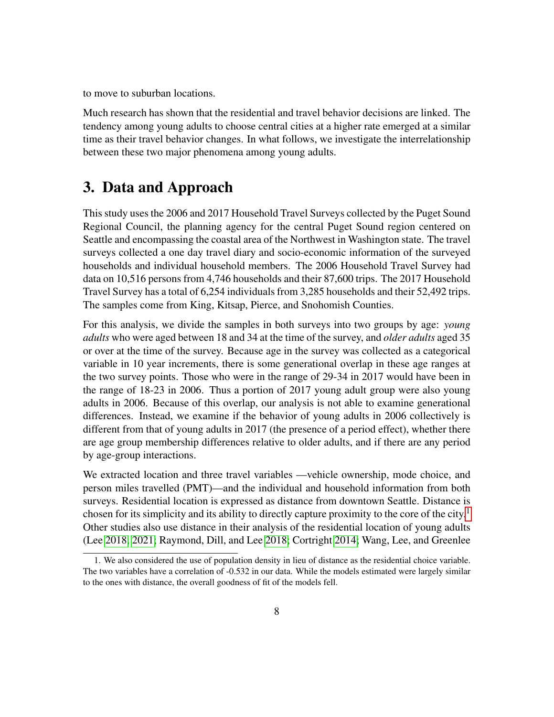to move to suburban locations.

Much research has shown that the residential and travel behavior decisions are linked. The tendency among young adults to choose central cities at a higher rate emerged at a similar time as their travel behavior changes. In what follows, we investigate the interrelationship between these two major phenomena among young adults.

## <span id="page-7-0"></span>3. Data and Approach

This study uses the 2006 and 2017 Household Travel Surveys collected by the Puget Sound Regional Council, the planning agency for the central Puget Sound region centered on Seattle and encompassing the coastal area of the Northwest in Washington state. The travel surveys collected a one day travel diary and socio-economic information of the surveyed households and individual household members. The 2006 Household Travel Survey had data on 10,516 persons from 4,746 households and their 87,600 trips. The 2017 Household Travel Survey has a total of 6,254 individuals from 3,285 households and their 52,492 trips. The samples come from King, Kitsap, Pierce, and Snohomish Counties.

For this analysis, we divide the samples in both surveys into two groups by age: *young adults* who were aged between 18 and 34 at the time of the survey, and *older adults* aged 35 or over at the time of the survey. Because age in the survey was collected as a categorical variable in 10 year increments, there is some generational overlap in these age ranges at the two survey points. Those who were in the range of 29-34 in 2017 would have been in the range of 18-23 in 2006. Thus a portion of 2017 young adult group were also young adults in 2006. Because of this overlap, our analysis is not able to examine generational differences. Instead, we examine if the behavior of young adults in 2006 collectively is different from that of young adults in 2017 (the presence of a period effect), whether there are age group membership differences relative to older adults, and if there are any period by age-group interactions.

We extracted location and three travel variables —vehicle ownership, mode choice, and person miles travelled (PMT)—and the individual and household information from both surveys. Residential location is expressed as distance from downtown Seattle. Distance is chosen for its simplicity and its ability to directly capture proximity to the core of the city.<sup>[1](#page-0-0)</sup> Other studies also use distance in their analysis of the residential location of young adults (Lee [2018,](#page-23-2) [2021;](#page-23-13) Raymond, Dill, and Lee [2018;](#page-24-10) Cortright [2014;](#page-22-3) Wang, Lee, and Greenlee

<sup>1.</sup> We also considered the use of population density in lieu of distance as the residential choice variable. The two variables have a correlation of -0.532 in our data. While the models estimated were largely similar to the ones with distance, the overall goodness of fit of the models fell.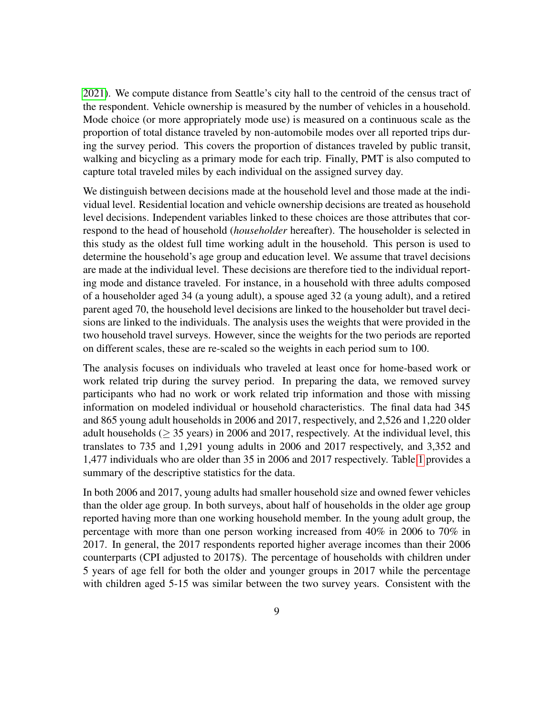[2021\)](#page-25-7). We compute distance from Seattle's city hall to the centroid of the census tract of the respondent. Vehicle ownership is measured by the number of vehicles in a household. Mode choice (or more appropriately mode use) is measured on a continuous scale as the proportion of total distance traveled by non-automobile modes over all reported trips during the survey period. This covers the proportion of distances traveled by public transit, walking and bicycling as a primary mode for each trip. Finally, PMT is also computed to capture total traveled miles by each individual on the assigned survey day.

We distinguish between decisions made at the household level and those made at the individual level. Residential location and vehicle ownership decisions are treated as household level decisions. Independent variables linked to these choices are those attributes that correspond to the head of household (*householder* hereafter). The householder is selected in this study as the oldest full time working adult in the household. This person is used to determine the household's age group and education level. We assume that travel decisions are made at the individual level. These decisions are therefore tied to the individual reporting mode and distance traveled. For instance, in a household with three adults composed of a householder aged 34 (a young adult), a spouse aged 32 (a young adult), and a retired parent aged 70, the household level decisions are linked to the householder but travel decisions are linked to the individuals. The analysis uses the weights that were provided in the two household travel surveys. However, since the weights for the two periods are reported on different scales, these are re-scaled so the weights in each period sum to 100.

The analysis focuses on individuals who traveled at least once for home-based work or work related trip during the survey period. In preparing the data, we removed survey participants who had no work or work related trip information and those with missing information on modeled individual or household characteristics. The final data had 345 and 865 young adult households in 2006 and 2017, respectively, and 2,526 and 1,220 older adult households ( $\geq$  35 years) in 2006 and 2017, respectively. At the individual level, this translates to 735 and 1,291 young adults in 2006 and 2017 respectively, and 3,352 and 1,477 individuals who are older than 35 in 2006 and 2017 respectively. Table [1](#page-9-0) provides a summary of the descriptive statistics for the data.

In both 2006 and 2017, young adults had smaller household size and owned fewer vehicles than the older age group. In both surveys, about half of households in the older age group reported having more than one working household member. In the young adult group, the percentage with more than one person working increased from 40% in 2006 to 70% in 2017. In general, the 2017 respondents reported higher average incomes than their 2006 counterparts (CPI adjusted to 2017\$). The percentage of households with children under 5 years of age fell for both the older and younger groups in 2017 while the percentage with children aged 5-15 was similar between the two survey years. Consistent with the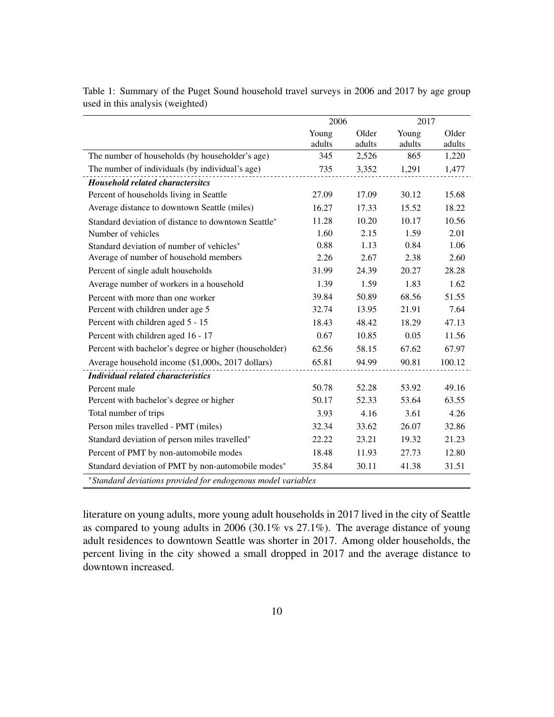|                                                              | 2006   |        | 2017   |        |  |  |
|--------------------------------------------------------------|--------|--------|--------|--------|--|--|
|                                                              | Young  | Older  | Young  | Older  |  |  |
|                                                              | adults | adults | adults | adults |  |  |
| The number of households (by householder's age)              | 345    | 2,526  | 865    | 1,220  |  |  |
| The number of individuals (by individual's age)              | 735    | 3,352  | 1,291  | 1,477  |  |  |
| <b>Household related charactersitcs</b>                      |        |        |        |        |  |  |
| Percent of households living in Seattle                      | 27.09  | 17.09  | 30.12  | 15.68  |  |  |
| Average distance to downtown Seattle (miles)                 | 16.27  | 17.33  | 15.52  | 18.22  |  |  |
| Standard deviation of distance to downtown Seattle*          | 11.28  | 10.20  | 10.17  | 10.56  |  |  |
| Number of vehicles                                           | 1.60   | 2.15   | 1.59   | 2.01   |  |  |
| Standard deviation of number of vehicles*                    | 0.88   | 1.13   | 0.84   | 1.06   |  |  |
| Average of number of household members                       | 2.26   | 2.67   | 2.38   | 2.60   |  |  |
| Percent of single adult households                           | 31.99  | 24.39  | 20.27  | 28.28  |  |  |
| Average number of workers in a household                     | 1.39   | 1.59   | 1.83   | 1.62   |  |  |
| Percent with more than one worker                            | 39.84  | 50.89  | 68.56  | 51.55  |  |  |
| Percent with children under age 5                            | 32.74  | 13.95  | 21.91  | 7.64   |  |  |
| Percent with children aged 5 - 15                            | 18.43  | 48.42  | 18.29  | 47.13  |  |  |
| Percent with children aged 16 - 17                           | 0.67   | 10.85  | 0.05   | 11.56  |  |  |
| Percent with bachelor's degree or higher (householder)       | 62.56  | 58.15  | 67.62  | 67.97  |  |  |
| Average household income (\$1,000s, 2017 dollars)            | 65.81  | 94.99  | 90.81  | 100.12 |  |  |
| <b>Individual related characteristics</b>                    |        |        |        |        |  |  |
| Percent male                                                 | 50.78  | 52.28  | 53.92  | 49.16  |  |  |
| Percent with bachelor's degree or higher                     | 50.17  | 52.33  | 53.64  | 63.55  |  |  |
| Total number of trips                                        | 3.93   | 4.16   | 3.61   | 4.26   |  |  |
| Person miles travelled - PMT (miles)                         | 32.34  | 33.62  | 26.07  | 32.86  |  |  |
| Standard deviation of person miles travelled*                | 22.22  | 23.21  | 19.32  | 21.23  |  |  |
| Percent of PMT by non-automobile modes                       | 18.48  | 11.93  | 27.73  | 12.80  |  |  |
| Standard deviation of PMT by non-automobile modes*           | 35.84  | 30.11  | 41.38  | 31.51  |  |  |
| *Standard deviations provided for endogenous model variables |        |        |        |        |  |  |

<span id="page-9-0"></span>Table 1: Summary of the Puget Sound household travel surveys in 2006 and 2017 by age group used in this analysis (weighted)

literature on young adults, more young adult households in 2017 lived in the city of Seattle as compared to young adults in 2006 (30.1% vs 27.1%). The average distance of young adult residences to downtown Seattle was shorter in 2017. Among older households, the percent living in the city showed a small dropped in 2017 and the average distance to downtown increased.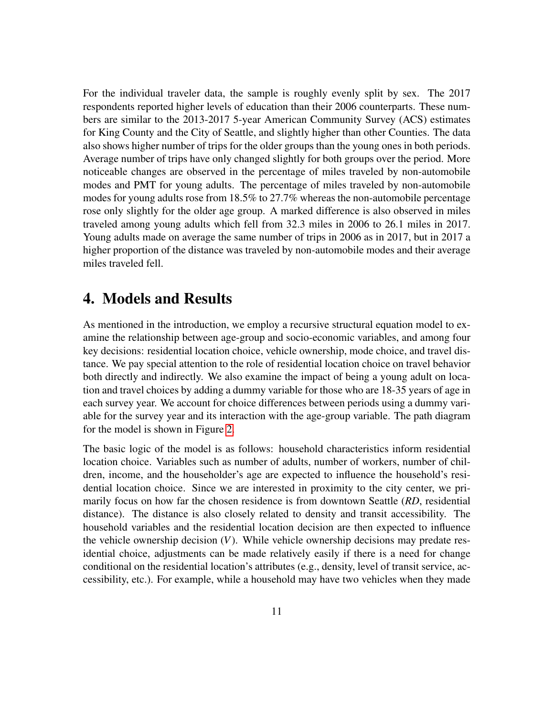For the individual traveler data, the sample is roughly evenly split by sex. The 2017 respondents reported higher levels of education than their 2006 counterparts. These numbers are similar to the 2013-2017 5-year American Community Survey (ACS) estimates for King County and the City of Seattle, and slightly higher than other Counties. The data also shows higher number of trips for the older groups than the young ones in both periods. Average number of trips have only changed slightly for both groups over the period. More noticeable changes are observed in the percentage of miles traveled by non-automobile modes and PMT for young adults. The percentage of miles traveled by non-automobile modes for young adults rose from 18.5% to 27.7% whereas the non-automobile percentage rose only slightly for the older age group. A marked difference is also observed in miles traveled among young adults which fell from 32.3 miles in 2006 to 26.1 miles in 2017. Young adults made on average the same number of trips in 2006 as in 2017, but in 2017 a higher proportion of the distance was traveled by non-automobile modes and their average miles traveled fell.

## 4. Models and Results

As mentioned in the introduction, we employ a recursive structural equation model to examine the relationship between age-group and socio-economic variables, and among four key decisions: residential location choice, vehicle ownership, mode choice, and travel distance. We pay special attention to the role of residential location choice on travel behavior both directly and indirectly. We also examine the impact of being a young adult on location and travel choices by adding a dummy variable for those who are 18-35 years of age in each survey year. We account for choice differences between periods using a dummy variable for the survey year and its interaction with the age-group variable. The path diagram for the model is shown in Figure [2.](#page-11-0)

The basic logic of the model is as follows: household characteristics inform residential location choice. Variables such as number of adults, number of workers, number of children, income, and the householder's age are expected to influence the household's residential location choice. Since we are interested in proximity to the city center, we primarily focus on how far the chosen residence is from downtown Seattle (*RD*, residential distance). The distance is also closely related to density and transit accessibility. The household variables and the residential location decision are then expected to influence the vehicle ownership decision (*V*). While vehicle ownership decisions may predate residential choice, adjustments can be made relatively easily if there is a need for change conditional on the residential location's attributes (e.g., density, level of transit service, accessibility, etc.). For example, while a household may have two vehicles when they made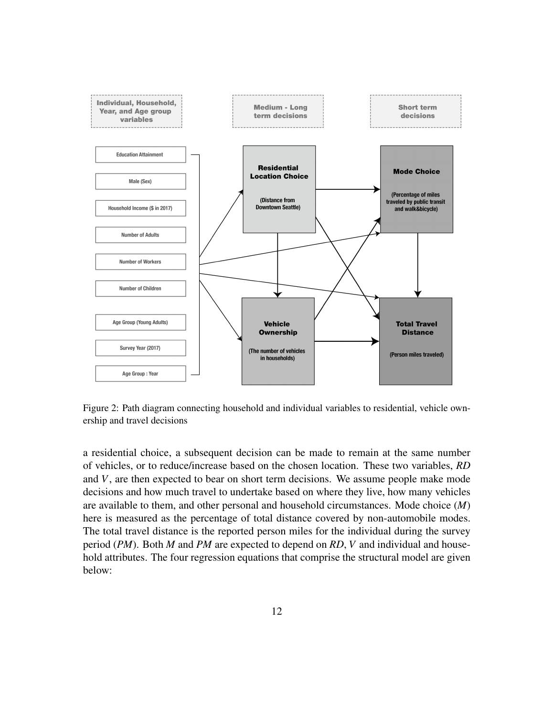<span id="page-11-0"></span>

Figure 2: Path diagram connecting household and individual variables to residential, vehicle ownership and travel decisions

a residential choice, a subsequent decision can be made to remain at the same number of vehicles, or to reduce/increase based on the chosen location. These two variables, *RD* and *V*, are then expected to bear on short term decisions. We assume people make mode decisions and how much travel to undertake based on where they live, how many vehicles are available to them, and other personal and household circumstances. Mode choice (*M*) here is measured as the percentage of total distance covered by non-automobile modes. The total travel distance is the reported person miles for the individual during the survey period (*PM*). Both *M* and *PM* are expected to depend on *RD*, *V* and individual and household attributes. The four regression equations that comprise the structural model are given below: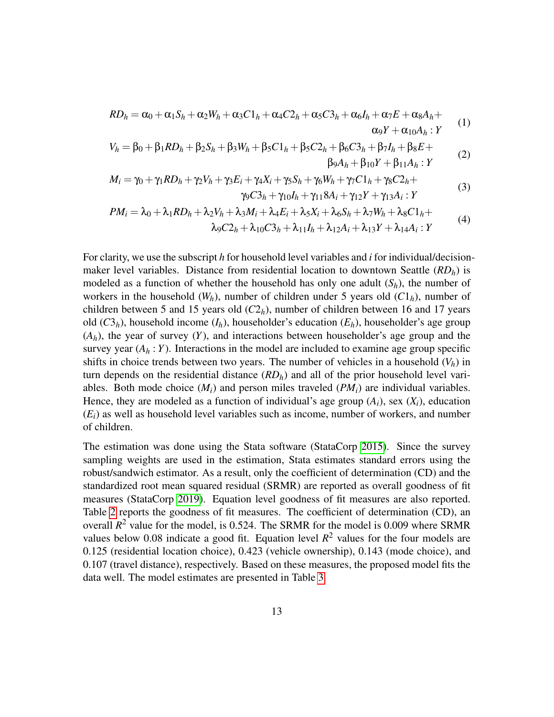$$
RD_h = \alpha_0 + \alpha_1 S_h + \alpha_2 W_h + \alpha_3 C 1_h + \alpha_4 C 2_h + \alpha_5 C 3_h + \alpha_6 I_h + \alpha_7 E + \alpha_8 A_h + \alpha_9 Y + \alpha_{10} A_h : Y
$$
 (1)

$$
V_h = \beta_0 + \beta_1 R D_h + \beta_2 S_h + \beta_3 W_h + \beta_5 C 1_h + \beta_5 C 2_h + \beta_6 C 3_h + \beta_7 I_h + \beta_8 E +
$$
  
\n
$$
\beta_9 A_h + \beta_{10} Y + \beta_{11} A_h : Y
$$
\n(2)

$$
M_i = \gamma_0 + \gamma_1 RD_h + \gamma_2 V_h + \gamma_3 E_i + \gamma_4 X_i + \gamma_5 S_h + \gamma_6 W_h + \gamma_7 C 1_h + \gamma_8 C 2_h + \n\gamma_9 C 3_h + \gamma_{10} I_h + \gamma_{11} 8 A_i + \gamma_{12} Y + \gamma_{13} A_i : Y
$$
\n(3)

$$
PM_i = \lambda_0 + \lambda_1 RD_h + \lambda_2 V_h + \lambda_3 M_i + \lambda_4 E_i + \lambda_5 X_i + \lambda_6 S_h + \lambda_7 W_h + \lambda_8 C 1_h + \lambda_7 W_h + \lambda_8 W_h + \lambda_9 W_h + \lambda_9 W_h + \lambda_9 W_h + \lambda_9 W_h + \lambda_9 W_h + \lambda_9 W_h + \lambda_9 W_h + \lambda_9 W_h + \lambda_9 W_h + \lambda_9 W_h + \lambda_9 W_h + \lambda_9 W_h + \lambda_9 W_h + \lambda_9 W_h + \lambda_9 W_h + \lambda_9 W_h + \lambda_9 W_h + \lambda_9 W_h + \lambda_9 W_h + \lambda_9 W_h + \lambda_9 W_h + \lambda_9 W_h + \lambda_9 W_h + \lambda_9 W_h + \lambda_9 W_h + \lambda_9 W_h + \lambda_9 W_h + \lambda_9 W_h + \lambda_9 W_h + \lambda_9 W_h + \lambda_9 W_h + \lambda_9 W_h + \lambda_9 W_h + \lambda_9 W_h + \lambda_9 W_h + \lambda_9 W_h + \lambda_9 W_h + \lambda_9 W_h + \lambda_9 W_h + \lambda_9 W_h + \lambda_9 W_h + \lambda_9 W_h + \lambda_9 W_h + \lambda_9 W_h + \lambda_9 W_h + \lambda_9 W_h + \lambda_9 W_h + \lambda_9 W_h + \lambda_9 W_h + \lambda_9 W_h + \lambda_9 W_h + \lambda_9 W_h + \lambda_9 W_h + \lambda_9 W_h + \lambda_9 W_h + \lambda_9 W_h + \lambda_9 W_h + \lambda_9 W_h + \lambda_9 W_h + \lambda_9 W_h + \lambda_9 W_h + \lambda_9 W_h + \lambda_9 W_h + \lambda_9 W_h + \lambda_9 W_h + \lambda_9 W_h + \lambda_9 W_h + \lambda_9 W_h + \lambda_9 W_h + \lambda_9 W_h + \lambda_9 W_h + \lambda_9 W_h + \lambda_9 W_h + \lambda_9 W_h + \lambda_9 W_h + \lambda_9 W_h + \lambda_9 W_h + \lambda_9 W_h + \lambda_9 W_h + \lambda_9 W_h + \lambda_9 W_h + \lambda_9 W_h + \lambda_9 W_h + \lambda_9 W_h + \lambda_9 W_h + \lambda_9 W_h + \lambda_9 W_h + \lambda_9 W_h + \lambda_9 W_h + \lambda_9 W_h + \lambda_9 W_h + \lambda_9 W_h + \lambda_9 W_h + \lambda_9 W_h + \lambda_9 W_h + \lambda_9 W_h + \lambda_9 W_h +
$$

$$
\lambda_9 C2_h + \lambda_{10} C3_h + \lambda_{11} I_h + \lambda_{12} A_i + \lambda_{13} Y + \lambda_{14} A_i : Y
$$

For clarity, we use the subscript *h* for household level variables and *i* for individual/decisionmaker level variables. Distance from residential location to downtown Seattle (*RDh*) is modeled as a function of whether the household has only one adult  $(S_h)$ , the number of workers in the household  $(W_h)$ , number of children under 5 years old  $(C1_h)$ , number of children between 5 and 15 years old  $(C2<sub>h</sub>)$ , number of children between 16 and 17 years old (*C*3*h*), household income (*Ih*), householder's education (*Eh*), householder's age group  $(A_h)$ , the year of survey  $(Y)$ , and interactions between householder's age group and the survey year  $(A_h : Y)$ . Interactions in the model are included to examine age group specific shifts in choice trends between two years. The number of vehicles in a household  $(V_h)$  in turn depends on the residential distance  $(RD_h)$  and all of the prior household level variables. Both mode choice  $(M_i)$  and person miles traveled  $(PM_i)$  are individual variables. Hence, they are modeled as a function of individual's age group  $(A_i)$ , sex  $(X_i)$ , education (*Ei*) as well as household level variables such as income, number of workers, and number of children.

The estimation was done using the Stata software (StataCorp [2015\)](#page-24-11). Since the survey sampling weights are used in the estimation, Stata estimates standard errors using the robust/sandwich estimator. As a result, only the coefficient of determination (CD) and the standardized root mean squared residual (SRMR) are reported as overall goodness of fit measures (StataCorp [2019\)](#page-25-8). Equation level goodness of fit measures are also reported. Table [2](#page-13-0) reports the goodness of fit measures. The coefficient of determination (CD), an overall  $R^2$  value for the model, is 0.524. The SRMR for the model is 0.009 where SRMR values below 0.08 indicate a good fit. Equation level  $R^2$  values for the four models are 0.125 (residential location choice), 0.423 (vehicle ownership), 0.143 (mode choice), and 0.107 (travel distance), respectively. Based on these measures, the proposed model fits the data well. The model estimates are presented in Table [3.](#page-13-1)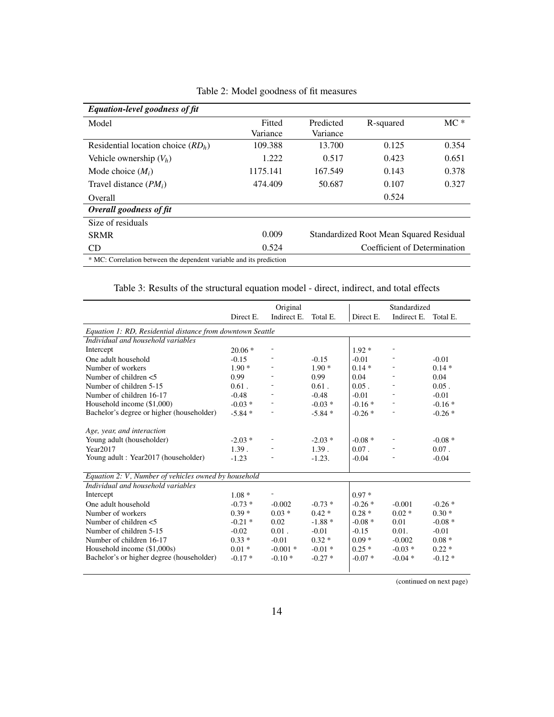<span id="page-13-0"></span>

| Equation-level goodness of fit                                      |          |                                         |           |       |  |  |
|---------------------------------------------------------------------|----------|-----------------------------------------|-----------|-------|--|--|
| Model                                                               | Fitted   | Predicted                               | R-squared | $MC*$ |  |  |
|                                                                     | Variance | Variance                                |           |       |  |  |
| Residential location choice $(RD_h)$                                | 109.388  | 13.700                                  | 0.125     | 0.354 |  |  |
| Vehicle ownership $(V_h)$                                           | 1.222    | 0.517                                   | 0.423     | 0.651 |  |  |
| Mode choice $(M_i)$                                                 | 1175.141 | 167.549                                 | 0.143     | 0.378 |  |  |
| Travel distance $(PM_i)$                                            | 474.409  | 50.687                                  | 0.107     | 0.327 |  |  |
| <b>Overall</b>                                                      |          |                                         | 0.524     |       |  |  |
| Overall goodness of fit                                             |          |                                         |           |       |  |  |
| Size of residuals                                                   |          |                                         |           |       |  |  |
| <b>SRMR</b>                                                         | 0.009    | Standardized Root Mean Squared Residual |           |       |  |  |
| CD                                                                  | 0.524    | Coefficient of Determination            |           |       |  |  |
| * MC: Correlation between the dependent variable and its prediction |          |                                         |           |       |  |  |

Table 2: Model goodness of fit measures

Table 3: Results of the structural equation model - direct, indirect, and total effects

<span id="page-13-1"></span>

|                                                            | Original  |                          |          | Standardized |             |          |  |  |
|------------------------------------------------------------|-----------|--------------------------|----------|--------------|-------------|----------|--|--|
|                                                            | Direct E. | Indirect E.              | Total E. | Direct E.    | Indirect E. | Total E. |  |  |
| Equation 1: RD, Residential distance from downtown Seattle |           |                          |          |              |             |          |  |  |
| Individual and household variables                         |           |                          |          |              |             |          |  |  |
| Intercept                                                  | $20.06*$  | $\overline{\phantom{a}}$ |          | $1.92*$      |             |          |  |  |
| One adult household                                        | $-0.15$   |                          | $-0.15$  | $-0.01$      |             | $-0.01$  |  |  |
| Number of workers                                          | $1.90*$   |                          | $1.90*$  | $0.14*$      |             | $0.14*$  |  |  |
| Number of children $<$ 5                                   | 0.99      |                          | 0.99     | 0.04         |             | 0.04     |  |  |
| Number of children 5-15                                    | $0.61$ .  |                          | $0.61$ . | $0.05$ .     |             | $0.05$ . |  |  |
| Number of children 16-17                                   | $-0.48$   |                          | $-0.48$  | $-0.01$      |             | $-0.01$  |  |  |
| Household income $(\$1,000)$                               | $-0.03*$  | ٠                        | $-0.03*$ | $-0.16*$     |             | $-0.16*$ |  |  |
| Bachelor's degree or higher (householder)                  | $-5.84*$  |                          | $-5.84*$ | $-0.26*$     |             | $-0.26*$ |  |  |
| Age, year, and interaction                                 |           |                          |          |              |             |          |  |  |
| Young adult (householder)                                  | $-2.03*$  |                          | $-2.03*$ | $-0.08*$     |             | $-0.08*$ |  |  |
| Year2017                                                   | 1.39.     |                          | 1.39.    | $0.07$ .     |             | $0.07$ . |  |  |
| Young adult : Year2017 (householder)                       | $-1.23$   |                          | $-1.23.$ | $-0.04$      |             | $-0.04$  |  |  |
| Equation 2: V, Number of vehicles owned by household       |           |                          |          |              |             |          |  |  |
| Individual and household variables                         |           |                          |          |              |             |          |  |  |
| Intercept                                                  | $1.08*$   |                          |          | $0.97*$      |             |          |  |  |
| One adult household                                        | $-0.73*$  | $-0.002$                 | $-0.73*$ | $-0.26*$     | $-0.001$    | $-0.26*$ |  |  |
| Number of workers                                          | $0.39*$   | $0.03 *$                 | $0.42*$  | $0.28 *$     | $0.02 *$    | $0.30*$  |  |  |
| Number of children $<$ 5                                   | $-0.21*$  | 0.02                     | $-1.88*$ | $-0.08*$     | 0.01        | $-0.08*$ |  |  |
| Number of children 5-15                                    | $-0.02$   | $0.01$ .                 | $-0.01$  | $-0.15$      | 0.01.       | $-0.01$  |  |  |
| Number of children 16-17                                   | $0.33*$   | $-0.01$                  | $0.32*$  | $0.09*$      | $-0.002$    | $0.08*$  |  |  |
| Household income (\$1,000s)                                | $0.01 *$  | $-0.001*$                | $-0.01*$ | $0.25*$      | $-0.03*$    | $0.22*$  |  |  |
| Bachelor's or higher degree (householder)                  | $-0.17*$  | $-0.10*$                 | $-0.27*$ | $-0.07*$     | $-0.04*$    | $-0.12*$ |  |  |
|                                                            |           |                          |          |              |             |          |  |  |

(continued on next page)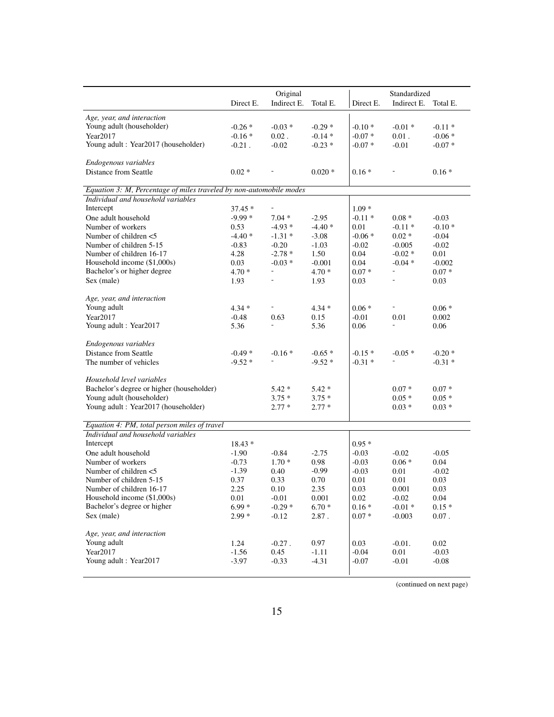|                                                                                    | Original        |                                      | Standardized    |                 |               |                 |
|------------------------------------------------------------------------------------|-----------------|--------------------------------------|-----------------|-----------------|---------------|-----------------|
|                                                                                    | Direct E.       | Indirect E.                          | Total E.        | Direct E.       | Indirect E.   | Total E.        |
| Age, year, and interaction                                                         |                 |                                      |                 |                 |               |                 |
| Young adult (householder)                                                          | $-0.26*$        | $-0.03*$                             | $-0.29*$        | $-0.10*$        | $-0.01*$      | $-0.11*$        |
| Year2017                                                                           | $-0.16*$        | $0.02$ .                             | $-0.14*$        | $-0.07*$        | $0.01$ .      | $-0.06*$        |
| Young adult: Year2017 (householder)                                                | $-0.21$ .       | $-0.02$                              | $-0.23*$        | $-0.07*$        | $-0.01$       | $-0.07*$        |
|                                                                                    |                 |                                      |                 |                 |               |                 |
| Endogenous variables                                                               |                 |                                      |                 |                 |               |                 |
| Distance from Seattle                                                              | $0.02*$         |                                      | $0.020*$        | $0.16*$         |               | $0.16*$         |
|                                                                                    |                 |                                      |                 |                 |               |                 |
| Equation 3: M, Percentage of miles traveled by non-automobile modes                |                 |                                      |                 |                 |               |                 |
| Individual and household variables                                                 |                 |                                      |                 |                 |               |                 |
| Intercept                                                                          | $37.45*$        | $\overline{\phantom{0}}$             |                 | $1.09*$         |               |                 |
| One adult household                                                                | $-9.99*$        | $7.04*$                              | $-2.95$         | $-0.11*$        | $0.08 *$      | $-0.03$         |
| Number of workers                                                                  | 0.53            | $-4.93*$                             | $-4.40*$        | 0.01            | $-0.11*$      | $-0.10*$        |
| Number of children <5                                                              | $-4.40*$        | $-1.31*$                             | $-3.08$         | $-0.06*$        | $0.02 *$      | $-0.04$         |
| Number of children 5-15                                                            | $-0.83$         | $-0.20$                              | $-1.03$         | $-0.02$         | $-0.005$      | $-0.02$         |
| Number of children 16-17                                                           | 4.28            | $-2.78*$                             | 1.50            | 0.04            | $-0.02*$      | 0.01            |
| Household income (\$1,000s)                                                        | 0.03            | $-0.03*$<br>$\overline{\phantom{a}}$ | $-0.001$        | 0.04            | $-0.04*$<br>۰ | $-0.002$        |
| Bachelor's or higher degree                                                        | $4.70*$         |                                      | $4.70*$         | $0.07 *$        |               | $0.07 *$        |
| Sex (male)                                                                         | 1.93            |                                      | 1.93            | 0.03            |               | 0.03            |
| Age, year, and interaction                                                         |                 |                                      |                 |                 |               |                 |
| Young adult                                                                        | $4.34*$         |                                      | $4.34*$         | $0.06*$         |               | $0.06*$         |
| Year2017                                                                           | $-0.48$         | 0.63                                 | 0.15            | $-0.01$         | 0.01          | 0.002           |
| Young adult: Year2017                                                              | 5.36            |                                      | 5.36            | 0.06            |               | 0.06            |
|                                                                                    |                 |                                      |                 |                 |               |                 |
| Endogenous variables                                                               |                 |                                      |                 |                 |               |                 |
| Distance from Seattle                                                              | $-0.49*$        | $-0.16*$                             | $-0.65*$        | $-0.15*$        | $-0.05*$      | $-0.20*$        |
| The number of vehicles                                                             | $-9.52*$        |                                      | $-9.52*$        | $-0.31*$        |               | $-0.31 *$       |
|                                                                                    |                 |                                      |                 |                 |               |                 |
| Household level variables                                                          |                 |                                      |                 |                 |               |                 |
| Bachelor's degree or higher (householder)                                          |                 | $5.42*$                              | $5.42*$         |                 | $0.07*$       | $0.07 *$        |
| Young adult (householder)                                                          |                 | $3.75*$                              | $3.75*$         |                 | $0.05*$       | $0.05*$         |
| Young adult: Year2017 (householder)                                                |                 | $2.77*$                              | $2.77*$         |                 | $0.03 *$      | $0.03 *$        |
|                                                                                    |                 |                                      |                 |                 |               |                 |
| Equation 4: PM, total person miles of travel<br>Individual and household variables |                 |                                      |                 |                 |               |                 |
| Intercept                                                                          |                 |                                      |                 |                 |               |                 |
|                                                                                    | $18.43*$        |                                      |                 | $0.95*$         |               |                 |
| One adult household                                                                | $-1.90$         | $-0.84$                              | $-2.75$         | $-0.03$         | $-0.02$       | $-0.05$         |
| Number of workers                                                                  | $-0.73$         | $1.70*$                              | 0.98            | $-0.03$         | $0.06*$       | 0.04            |
| Number of children <5<br>Number of children 5-15                                   | $-1.39$<br>0.37 | 0.40<br>0.33                         | $-0.99$<br>0.70 | $-0.03$<br>0.01 | 0.01<br>0.01  | $-0.02$<br>0.03 |
|                                                                                    | 2.25            |                                      | 2.35            | 0.03            | 0.001         |                 |
| Number of children 16-17<br>Household income (\$1,000s)                            | 0.01            | 0.10<br>$-0.01$                      | 0.001           | 0.02            | $-0.02$       | 0.03<br>0.04    |
| Bachelor's degree or higher                                                        | $6.99*$         | $-0.29*$                             | $6.70*$         | $0.16*$         | $-0.01*$      | $0.15*$         |
| Sex (male)                                                                         | $2.99*$         | $-0.12$                              | 2.87.           | $0.07\; *$      | $-0.003$      | $0.07$ .        |
|                                                                                    |                 |                                      |                 |                 |               |                 |
| Age, year, and interaction                                                         |                 |                                      |                 |                 |               |                 |
| Young adult                                                                        | 1.24            | $-0.27$ .                            | 0.97            | 0.03            | $-0.01$ .     | 0.02            |
| Year2017                                                                           | $-1.56$         | 0.45                                 | $-1.11$         | $-0.04$         | $0.01\,$      | $-0.03$         |
| Young adult : Year2017                                                             | $-3.97$         | $-0.33$                              | $-4.31$         | $-0.07$         | $-0.01$       | $-0.08$         |
|                                                                                    |                 |                                      |                 |                 |               |                 |

(continued on next page)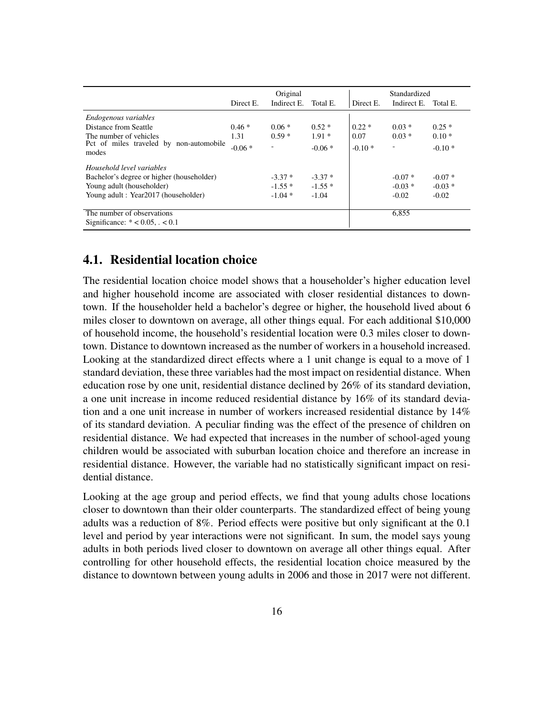|                                                                            | Original  |                          |          | Standardized |             |          |
|----------------------------------------------------------------------------|-----------|--------------------------|----------|--------------|-------------|----------|
|                                                                            | Direct E. | Indirect E.              | Total E. | Direct E.    | Indirect E. | Total E. |
| Endogenous variables                                                       |           |                          |          |              |             |          |
| Distance from Seattle                                                      | $0.46*$   | $0.06*$                  | $0.52*$  | $0.22*$      | $0.03*$     | $0.25*$  |
| The number of vehicles<br>Pct of miles traveled by non-automobile<br>modes | 1.31      | $0.59*$                  | $1.91*$  | 0.07         | $0.03 *$    | $0.10*$  |
|                                                                            | $-0.06*$  | $\overline{\phantom{a}}$ | $-0.06*$ | $-0.10*$     | ۰           | $-0.10*$ |
| Household level variables                                                  |           |                          |          |              |             |          |
| Bachelor's degree or higher (householder)                                  |           | $-3.37*$                 | $-3.37*$ |              | $-0.07*$    | $-0.07*$ |
| Young adult (householder)                                                  |           | $-1.55*$                 | $-1.55*$ |              | $-0.03*$    | $-0.03*$ |
| Young adult: Year2017 (householder)                                        |           | $-1.04*$                 | $-1.04$  |              | $-0.02$     | $-0.02$  |
| The number of observations<br>Significance: $* < 0.05$ , $\cdot < 0.1$     |           |                          |          |              | 6,855       |          |

### 4.1. Residential location choice

The residential location choice model shows that a householder's higher education level and higher household income are associated with closer residential distances to downtown. If the householder held a bachelor's degree or higher, the household lived about 6 miles closer to downtown on average, all other things equal. For each additional \$10,000 of household income, the household's residential location were 0.3 miles closer to downtown. Distance to downtown increased as the number of workers in a household increased. Looking at the standardized direct effects where a 1 unit change is equal to a move of 1 standard deviation, these three variables had the most impact on residential distance. When education rose by one unit, residential distance declined by 26% of its standard deviation, a one unit increase in income reduced residential distance by 16% of its standard deviation and a one unit increase in number of workers increased residential distance by 14% of its standard deviation. A peculiar finding was the effect of the presence of children on residential distance. We had expected that increases in the number of school-aged young children would be associated with suburban location choice and therefore an increase in residential distance. However, the variable had no statistically significant impact on residential distance.

Looking at the age group and period effects, we find that young adults chose locations closer to downtown than their older counterparts. The standardized effect of being young adults was a reduction of 8%. Period effects were positive but only significant at the 0.1 level and period by year interactions were not significant. In sum, the model says young adults in both periods lived closer to downtown on average all other things equal. After controlling for other household effects, the residential location choice measured by the distance to downtown between young adults in 2006 and those in 2017 were not different.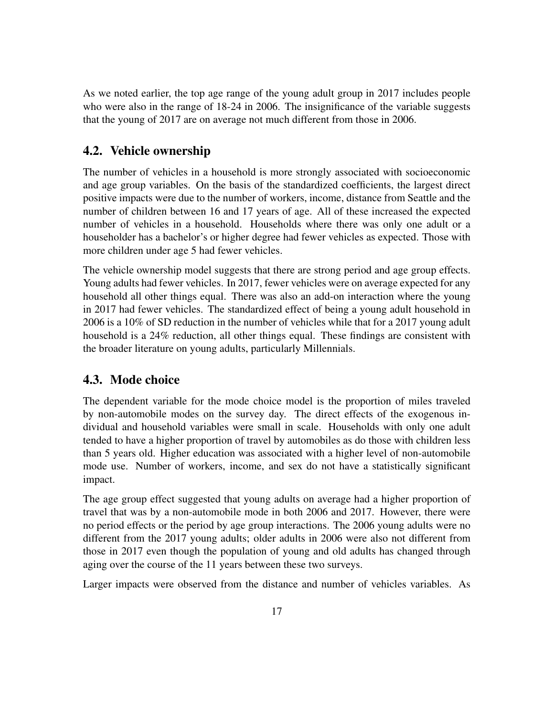As we noted earlier, the top age range of the young adult group in 2017 includes people who were also in the range of 18-24 in 2006. The insignificance of the variable suggests that the young of 2017 are on average not much different from those in 2006.

### 4.2. Vehicle ownership

The number of vehicles in a household is more strongly associated with socioeconomic and age group variables. On the basis of the standardized coefficients, the largest direct positive impacts were due to the number of workers, income, distance from Seattle and the number of children between 16 and 17 years of age. All of these increased the expected number of vehicles in a household. Households where there was only one adult or a householder has a bachelor's or higher degree had fewer vehicles as expected. Those with more children under age 5 had fewer vehicles.

The vehicle ownership model suggests that there are strong period and age group effects. Young adults had fewer vehicles. In 2017, fewer vehicles were on average expected for any household all other things equal. There was also an add-on interaction where the young in 2017 had fewer vehicles. The standardized effect of being a young adult household in 2006 is a 10% of SD reduction in the number of vehicles while that for a 2017 young adult household is a 24% reduction, all other things equal. These findings are consistent with the broader literature on young adults, particularly Millennials.

#### 4.3. Mode choice

The dependent variable for the mode choice model is the proportion of miles traveled by non-automobile modes on the survey day. The direct effects of the exogenous individual and household variables were small in scale. Households with only one adult tended to have a higher proportion of travel by automobiles as do those with children less than 5 years old. Higher education was associated with a higher level of non-automobile mode use. Number of workers, income, and sex do not have a statistically significant impact.

The age group effect suggested that young adults on average had a higher proportion of travel that was by a non-automobile mode in both 2006 and 2017. However, there were no period effects or the period by age group interactions. The 2006 young adults were no different from the 2017 young adults; older adults in 2006 were also not different from those in 2017 even though the population of young and old adults has changed through aging over the course of the 11 years between these two surveys.

Larger impacts were observed from the distance and number of vehicles variables. As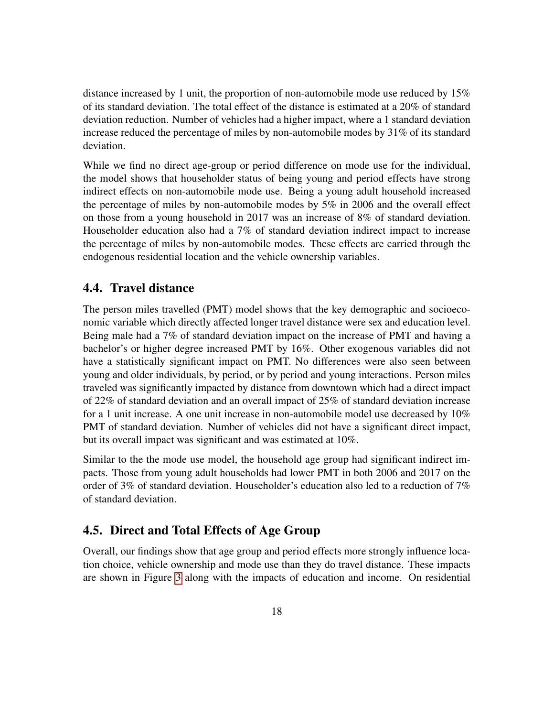distance increased by 1 unit, the proportion of non-automobile mode use reduced by 15% of its standard deviation. The total effect of the distance is estimated at a 20% of standard deviation reduction. Number of vehicles had a higher impact, where a 1 standard deviation increase reduced the percentage of miles by non-automobile modes by 31% of its standard deviation.

While we find no direct age-group or period difference on mode use for the individual, the model shows that householder status of being young and period effects have strong indirect effects on non-automobile mode use. Being a young adult household increased the percentage of miles by non-automobile modes by 5% in 2006 and the overall effect on those from a young household in 2017 was an increase of 8% of standard deviation. Householder education also had a 7% of standard deviation indirect impact to increase the percentage of miles by non-automobile modes. These effects are carried through the endogenous residential location and the vehicle ownership variables.

#### 4.4. Travel distance

The person miles travelled (PMT) model shows that the key demographic and socioeconomic variable which directly affected longer travel distance were sex and education level. Being male had a 7% of standard deviation impact on the increase of PMT and having a bachelor's or higher degree increased PMT by 16%. Other exogenous variables did not have a statistically significant impact on PMT. No differences were also seen between young and older individuals, by period, or by period and young interactions. Person miles traveled was significantly impacted by distance from downtown which had a direct impact of 22% of standard deviation and an overall impact of 25% of standard deviation increase for a 1 unit increase. A one unit increase in non-automobile model use decreased by 10% PMT of standard deviation. Number of vehicles did not have a significant direct impact, but its overall impact was significant and was estimated at 10%.

Similar to the the mode use model, the household age group had significant indirect impacts. Those from young adult households had lower PMT in both 2006 and 2017 on the order of 3% of standard deviation. Householder's education also led to a reduction of 7% of standard deviation.

#### 4.5. Direct and Total Effects of Age Group

Overall, our findings show that age group and period effects more strongly influence location choice, vehicle ownership and mode use than they do travel distance. These impacts are shown in Figure [3](#page-18-0) along with the impacts of education and income. On residential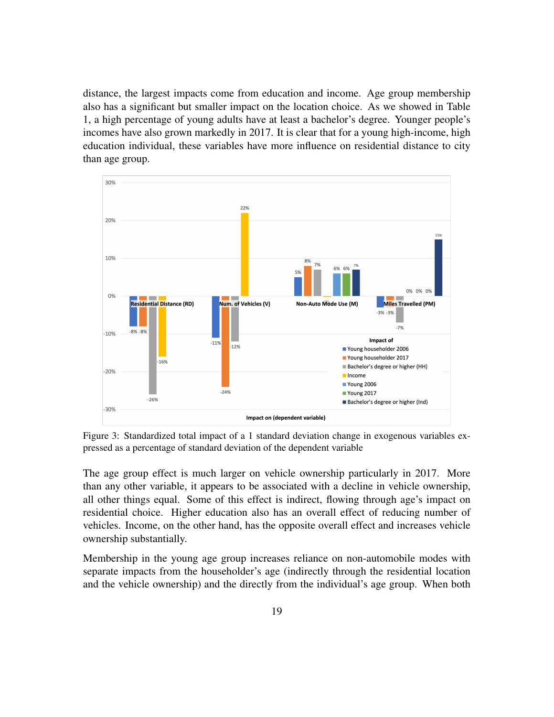distance, the largest impacts come from education and income. Age group membership also has a significant but smaller impact on the location choice. As we showed in Table 1, a high percentage of young adults have at least a bachelor's degree. Younger people's incomes have also grown markedly in 2017. It is clear that for a young high-income, high education individual, these variables have more influence on residential distance to city than age group.

<span id="page-18-0"></span>

Figure 3: Standardized total impact of a 1 standard deviation change in exogenous variables expressed as a percentage of standard deviation of the dependent variable

The age group effect is much larger on vehicle ownership particularly in 2017. More than any other variable, it appears to be associated with a decline in vehicle ownership, all other things equal. Some of this effect is indirect, flowing through age's impact on residential choice. Higher education also has an overall effect of reducing number of vehicles. Income, on the other hand, has the opposite overall effect and increases vehicle ownership substantially.

Membership in the young age group increases reliance on non-automobile modes with separate impacts from the householder's age (indirectly through the residential location and the vehicle ownership) and the directly from the individual's age group. When both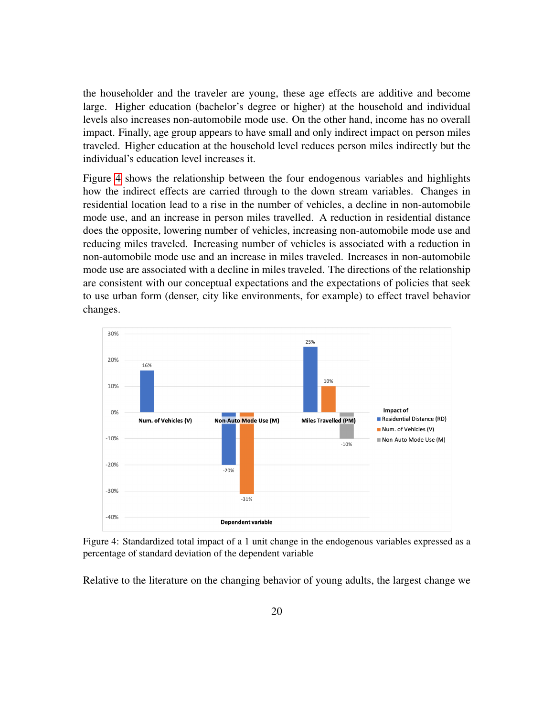the householder and the traveler are young, these age effects are additive and become large. Higher education (bachelor's degree or higher) at the household and individual levels also increases non-automobile mode use. On the other hand, income has no overall impact. Finally, age group appears to have small and only indirect impact on person miles traveled. Higher education at the household level reduces person miles indirectly but the individual's education level increases it.

Figure [4](#page-19-0) shows the relationship between the four endogenous variables and highlights how the indirect effects are carried through to the down stream variables. Changes in residential location lead to a rise in the number of vehicles, a decline in non-automobile mode use, and an increase in person miles travelled. A reduction in residential distance does the opposite, lowering number of vehicles, increasing non-automobile mode use and reducing miles traveled. Increasing number of vehicles is associated with a reduction in non-automobile mode use and an increase in miles traveled. Increases in non-automobile mode use are associated with a decline in miles traveled. The directions of the relationship are consistent with our conceptual expectations and the expectations of policies that seek to use urban form (denser, city like environments, for example) to effect travel behavior changes.

<span id="page-19-0"></span>

Figure 4: Standardized total impact of a 1 unit change in the endogenous variables expressed as a percentage of standard deviation of the dependent variable

Relative to the literature on the changing behavior of young adults, the largest change we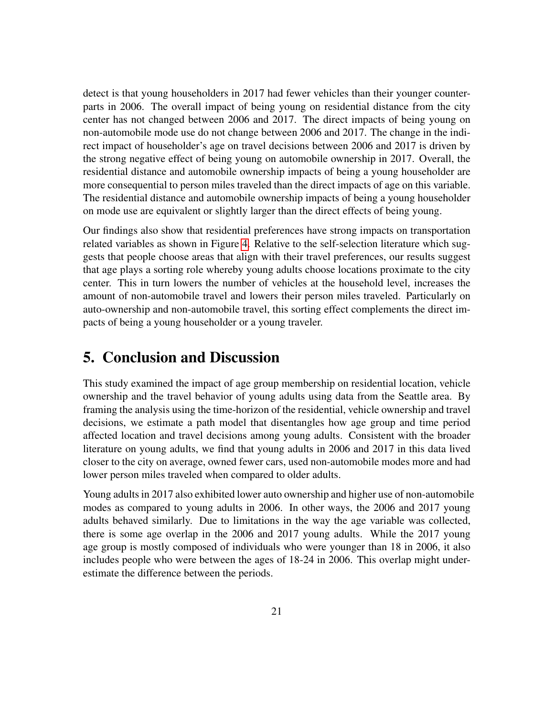detect is that young householders in 2017 had fewer vehicles than their younger counterparts in 2006. The overall impact of being young on residential distance from the city center has not changed between 2006 and 2017. The direct impacts of being young on non-automobile mode use do not change between 2006 and 2017. The change in the indirect impact of householder's age on travel decisions between 2006 and 2017 is driven by the strong negative effect of being young on automobile ownership in 2017. Overall, the residential distance and automobile ownership impacts of being a young householder are more consequential to person miles traveled than the direct impacts of age on this variable. The residential distance and automobile ownership impacts of being a young householder on mode use are equivalent or slightly larger than the direct effects of being young.

Our findings also show that residential preferences have strong impacts on transportation related variables as shown in Figure [4.](#page-19-0) Relative to the self-selection literature which suggests that people choose areas that align with their travel preferences, our results suggest that age plays a sorting role whereby young adults choose locations proximate to the city center. This in turn lowers the number of vehicles at the household level, increases the amount of non-automobile travel and lowers their person miles traveled. Particularly on auto-ownership and non-automobile travel, this sorting effect complements the direct impacts of being a young householder or a young traveler.

## 5. Conclusion and Discussion

This study examined the impact of age group membership on residential location, vehicle ownership and the travel behavior of young adults using data from the Seattle area. By framing the analysis using the time-horizon of the residential, vehicle ownership and travel decisions, we estimate a path model that disentangles how age group and time period affected location and travel decisions among young adults. Consistent with the broader literature on young adults, we find that young adults in 2006 and 2017 in this data lived closer to the city on average, owned fewer cars, used non-automobile modes more and had lower person miles traveled when compared to older adults.

Young adults in 2017 also exhibited lower auto ownership and higher use of non-automobile modes as compared to young adults in 2006. In other ways, the 2006 and 2017 young adults behaved similarly. Due to limitations in the way the age variable was collected, there is some age overlap in the 2006 and 2017 young adults. While the 2017 young age group is mostly composed of individuals who were younger than 18 in 2006, it also includes people who were between the ages of 18-24 in 2006. This overlap might underestimate the difference between the periods.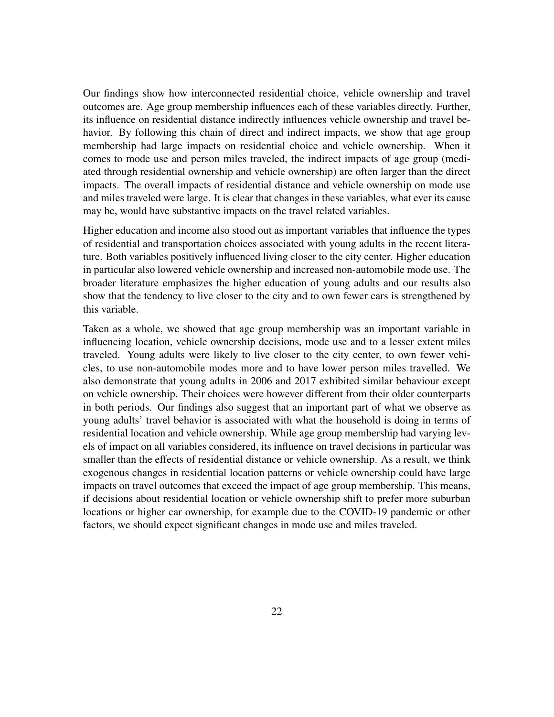Our findings show how interconnected residential choice, vehicle ownership and travel outcomes are. Age group membership influences each of these variables directly. Further, its influence on residential distance indirectly influences vehicle ownership and travel behavior. By following this chain of direct and indirect impacts, we show that age group membership had large impacts on residential choice and vehicle ownership. When it comes to mode use and person miles traveled, the indirect impacts of age group (mediated through residential ownership and vehicle ownership) are often larger than the direct impacts. The overall impacts of residential distance and vehicle ownership on mode use and miles traveled were large. It is clear that changes in these variables, what ever its cause may be, would have substantive impacts on the travel related variables.

Higher education and income also stood out as important variables that influence the types of residential and transportation choices associated with young adults in the recent literature. Both variables positively influenced living closer to the city center. Higher education in particular also lowered vehicle ownership and increased non-automobile mode use. The broader literature emphasizes the higher education of young adults and our results also show that the tendency to live closer to the city and to own fewer cars is strengthened by this variable.

Taken as a whole, we showed that age group membership was an important variable in influencing location, vehicle ownership decisions, mode use and to a lesser extent miles traveled. Young adults were likely to live closer to the city center, to own fewer vehicles, to use non-automobile modes more and to have lower person miles travelled. We also demonstrate that young adults in 2006 and 2017 exhibited similar behaviour except on vehicle ownership. Their choices were however different from their older counterparts in both periods. Our findings also suggest that an important part of what we observe as young adults' travel behavior is associated with what the household is doing in terms of residential location and vehicle ownership. While age group membership had varying levels of impact on all variables considered, its influence on travel decisions in particular was smaller than the effects of residential distance or vehicle ownership. As a result, we think exogenous changes in residential location patterns or vehicle ownership could have large impacts on travel outcomes that exceed the impact of age group membership. This means, if decisions about residential location or vehicle ownership shift to prefer more suburban locations or higher car ownership, for example due to the COVID-19 pandemic or other factors, we should expect significant changes in mode use and miles traveled.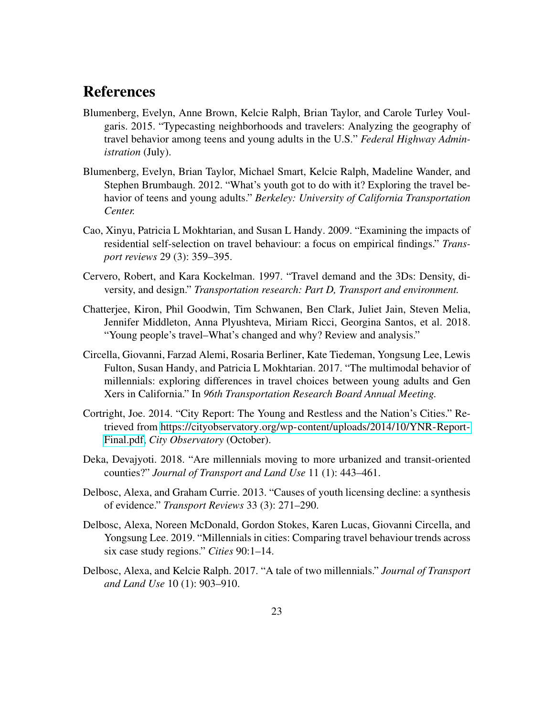## **References**

- <span id="page-22-0"></span>Blumenberg, Evelyn, Anne Brown, Kelcie Ralph, Brian Taylor, and Carole Turley Voulgaris. 2015. "Typecasting neighborhoods and travelers: Analyzing the geography of travel behavior among teens and young adults in the U.S." *Federal Highway Administration* (July).
- <span id="page-22-8"></span>Blumenberg, Evelyn, Brian Taylor, Michael Smart, Kelcie Ralph, Madeline Wander, and Stephen Brumbaugh. 2012. "What's youth got to do with it? Exploring the travel behavior of teens and young adults." *Berkeley: University of California Transportation Center.*
- <span id="page-22-6"></span>Cao, Xinyu, Patricia L Mokhtarian, and Susan L Handy. 2009. "Examining the impacts of residential self-selection on travel behaviour: a focus on empirical findings." *Transport reviews* 29 (3): 359–395.
- <span id="page-22-5"></span>Cervero, Robert, and Kara Kockelman. 1997. "Travel demand and the 3Ds: Density, diversity, and design." *Transportation research: Part D, Transport and environment.*
- <span id="page-22-1"></span>Chatterjee, Kiron, Phil Goodwin, Tim Schwanen, Ben Clark, Juliet Jain, Steven Melia, Jennifer Middleton, Anna Plyushteva, Miriam Ricci, Georgina Santos, et al. 2018. "Young people's travel–What's changed and why? Review and analysis."
- <span id="page-22-7"></span>Circella, Giovanni, Farzad Alemi, Rosaria Berliner, Kate Tiedeman, Yongsung Lee, Lewis Fulton, Susan Handy, and Patricia L Mokhtarian. 2017. "The multimodal behavior of millennials: exploring differences in travel choices between young adults and Gen Xers in California." In *96th Transportation Research Board Annual Meeting.*
- <span id="page-22-3"></span>Cortright, Joe. 2014. "City Report: The Young and Restless and the Nation's Cities." Retrieved from [https://cityobservatory.org/wp-content/uploads/2014/10/YNR-Report-](https://cityobservatory.org/wp-content/uploads/2014/10/YNR-Report-Final.pdf)[Final.pdf,](https://cityobservatory.org/wp-content/uploads/2014/10/YNR-Report-Final.pdf) *City Observatory* (October).
- <span id="page-22-4"></span>Deka, Devajyoti. 2018. "Are millennials moving to more urbanized and transit-oriented counties?" *Journal of Transport and Land Use* 11 (1): 443–461.
- <span id="page-22-2"></span>Delbosc, Alexa, and Graham Currie. 2013. "Causes of youth licensing decline: a synthesis of evidence." *Transport Reviews* 33 (3): 271–290.
- <span id="page-22-10"></span>Delbosc, Alexa, Noreen McDonald, Gordon Stokes, Karen Lucas, Giovanni Circella, and Yongsung Lee. 2019. "Millennials in cities: Comparing travel behaviour trends across six case study regions." *Cities* 90:1–14.
- <span id="page-22-9"></span>Delbosc, Alexa, and Kelcie Ralph. 2017. "A tale of two millennials." *Journal of Transport and Land Use* 10 (1): 903–910.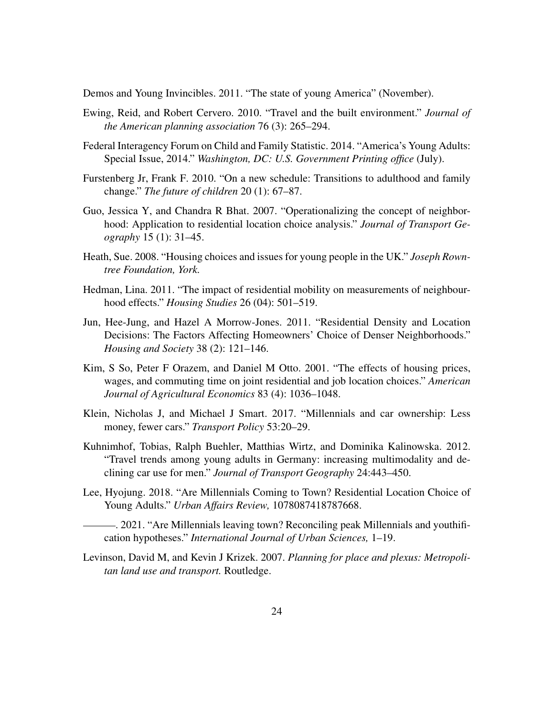<span id="page-23-9"></span>Demos and Young Invincibles. 2011. "The state of young America" (November).

- <span id="page-23-3"></span>Ewing, Reid, and Robert Cervero. 2010. "Travel and the built environment." *Journal of the American planning association* 76 (3): 265–294.
- <span id="page-23-10"></span>Federal Interagency Forum on Child and Family Statistic. 2014. "America's Young Adults: Special Issue, 2014." *Washington, DC: U.S. Government Printing office* (July).
- <span id="page-23-11"></span>Furstenberg Jr, Frank F. 2010. "On a new schedule: Transitions to adulthood and family change." *The future of children* 20 (1): 67–87.
- <span id="page-23-6"></span>Guo, Jessica Y, and Chandra R Bhat. 2007. "Operationalizing the concept of neighborhood: Application to residential location choice analysis." *Journal of Transport Geography* 15 (1): 31–45.
- <span id="page-23-12"></span>Heath, Sue. 2008. "Housing choices and issues for young people in the UK." *Joseph Rowntree Foundation, York.*
- <span id="page-23-8"></span>Hedman, Lina. 2011. "The impact of residential mobility on measurements of neighbourhood effects." *Housing Studies* 26 (04): 501–519.
- <span id="page-23-7"></span>Jun, Hee-Jung, and Hazel A Morrow-Jones. 2011. "Residential Density and Location Decisions: The Factors Affecting Homeowners' Choice of Denser Neighborhoods." *Housing and Society* 38 (2): 121–146.
- <span id="page-23-5"></span>Kim, S So, Peter F Orazem, and Daniel M Otto. 2001. "The effects of housing prices, wages, and commuting time on joint residential and job location choices." *American Journal of Agricultural Economics* 83 (4): 1036–1048.
- <span id="page-23-0"></span>Klein, Nicholas J, and Michael J Smart. 2017. "Millennials and car ownership: Less money, fewer cars." *Transport Policy* 53:20–29.
- <span id="page-23-1"></span>Kuhnimhof, Tobias, Ralph Buehler, Matthias Wirtz, and Dominika Kalinowska. 2012. "Travel trends among young adults in Germany: increasing multimodality and declining car use for men." *Journal of Transport Geography* 24:443–450.
- <span id="page-23-2"></span>Lee, Hyojung. 2018. "Are Millennials Coming to Town? Residential Location Choice of Young Adults." *Urban Affairs Review,* 1078087418787668.
- <span id="page-23-13"></span>. 2021. "Are Millennials leaving town? Reconciling peak Millennials and youthification hypotheses." *International Journal of Urban Sciences,* 1–19.
- <span id="page-23-4"></span>Levinson, David M, and Kevin J Krizek. 2007. *Planning for place and plexus: Metropolitan land use and transport.* Routledge.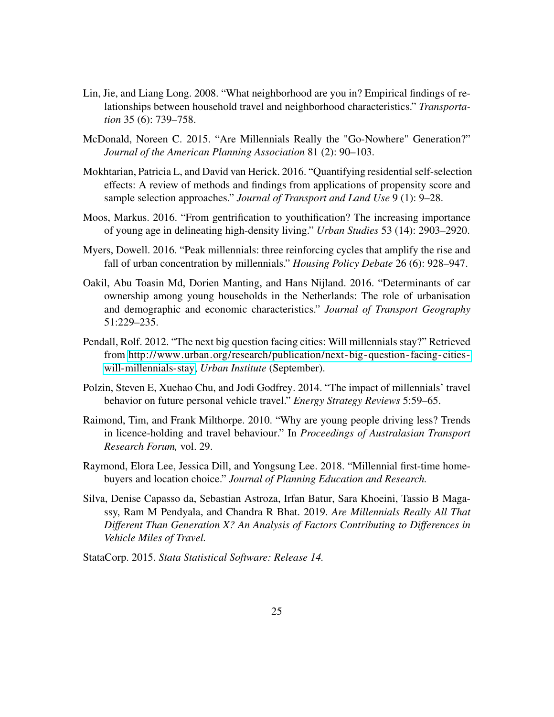- <span id="page-24-7"></span>Lin, Jie, and Liang Long. 2008. "What neighborhood are you in? Empirical findings of relationships between household travel and neighborhood characteristics." *Transportation* 35 (6): 739–758.
- <span id="page-24-0"></span>McDonald, Noreen C. 2015. "Are Millennials Really the "Go-Nowhere" Generation?" *Journal of the American Planning Association* 81 (2): 90–103.
- <span id="page-24-6"></span>Mokhtarian, Patricia L, and David van Herick. 2016. "Quantifying residential self-selection effects: A review of methods and findings from applications of propensity score and sample selection approaches." *Journal of Transport and Land Use* 9 (1): 9–28.
- <span id="page-24-3"></span>Moos, Markus. 2016. "From gentrification to youthification? The increasing importance of young age in delineating high-density living." *Urban Studies* 53 (14): 2903–2920.
- <span id="page-24-4"></span>Myers, Dowell. 2016. "Peak millennials: three reinforcing cycles that amplify the rise and fall of urban concentration by millennials." *Housing Policy Debate* 26 (6): 928–947.
- <span id="page-24-1"></span>Oakil, Abu Toasin Md, Dorien Manting, and Hans Nijland. 2016. "Determinants of car ownership among young households in the Netherlands: The role of urbanisation and demographic and economic characteristics." *Journal of Transport Geography* 51:229–235.
- <span id="page-24-5"></span>Pendall, Rolf. 2012. "The next big question facing cities: Will millennials stay?" Retrieved from [http://www.urban.org/research/publication/next- big- question- facing-cities](http://www.urban.org/research/publication/next-big-question-facing-cities-will-millennials-stay)[will-millennials-stay,](http://www.urban.org/research/publication/next-big-question-facing-cities-will-millennials-stay) *Urban Institute* (September).
- <span id="page-24-2"></span>Polzin, Steven E, Xuehao Chu, and Jodi Godfrey. 2014. "The impact of millennials' travel behavior on future personal vehicle travel." *Energy Strategy Reviews* 5:59–65.
- <span id="page-24-9"></span>Raimond, Tim, and Frank Milthorpe. 2010. "Why are young people driving less? Trends in licence-holding and travel behaviour." In *Proceedings of Australasian Transport Research Forum,* vol. 29.
- <span id="page-24-10"></span>Raymond, Elora Lee, Jessica Dill, and Yongsung Lee. 2018. "Millennial first-time homebuyers and location choice." *Journal of Planning Education and Research.*
- <span id="page-24-8"></span>Silva, Denise Capasso da, Sebastian Astroza, Irfan Batur, Sara Khoeini, Tassio B Magassy, Ram M Pendyala, and Chandra R Bhat. 2019. *Are Millennials Really All That Different Than Generation X? An Analysis of Factors Contributing to Differences in Vehicle Miles of Travel.*
- <span id="page-24-11"></span>StataCorp. 2015. *Stata Statistical Software: Release 14.*